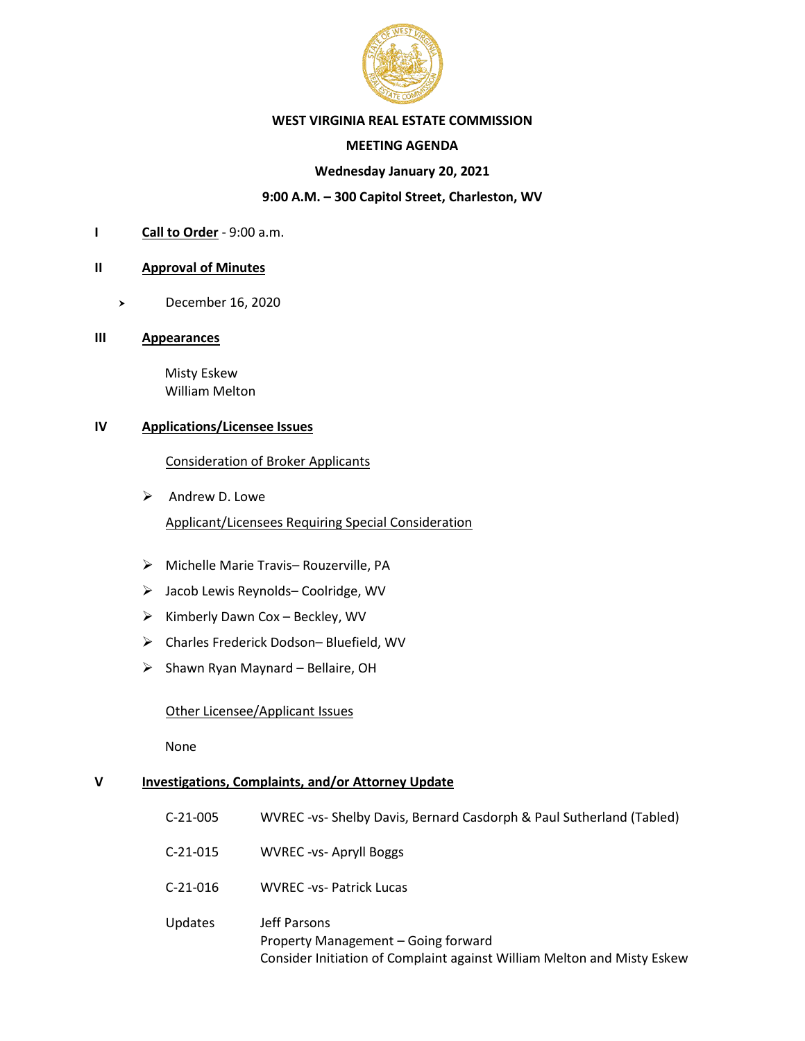

## **WEST VIRGINIA REAL ESTATE COMMISSION**

## **MEETING AGENDA**

## **Wednesday January 20, 2021**

## **9:00 A.M. – 300 Capitol Street, Charleston, WV**

**I Call to Order** - 9:00 a.m.

#### **II Approval of Minutes**

December 16, 2020

#### **III Appearances**

 Misty Eskew William Melton

#### **IV Applications/Licensee Issues**

Consideration of Broker Applicants

 $\triangleright$  Andrew D. Lowe

Applicant/Licensees Requiring Special Consideration

- ➢ Michelle Marie Travis– Rouzerville, PA
- ➢ Jacob Lewis Reynolds– Coolridge, WV
- $\triangleright$  Kimberly Dawn Cox Beckley, WV
- ➢ Charles Frederick Dodson– Bluefield, WV
- $\triangleright$  Shawn Ryan Maynard Bellaire, OH

## Other Licensee/Applicant Issues

None

## **V Investigations, Complaints, and/or Attorney Update**

| $C-21-005$     | WVREC-vs- Shelby Davis, Bernard Casdorph & Paul Sutherland (Tabled)                                                            |
|----------------|--------------------------------------------------------------------------------------------------------------------------------|
| $C-21-015$     | <b>WVREC-vs-Apryll Boggs</b>                                                                                                   |
| $C-21-016$     | <b>WVREC -vs- Patrick Lucas</b>                                                                                                |
| <b>Updates</b> | Jeff Parsons<br>Property Management – Going forward<br>Consider Initiation of Complaint against William Melton and Misty Eskew |